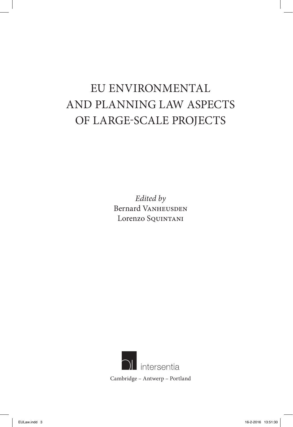# EU ENVIRONMENTAL AND PLANNING LAW ASPECTS OF LARGE-SCALE PROJECTS

*Edited by* Bernard VANHEUSDEN Lorenzo Squintani

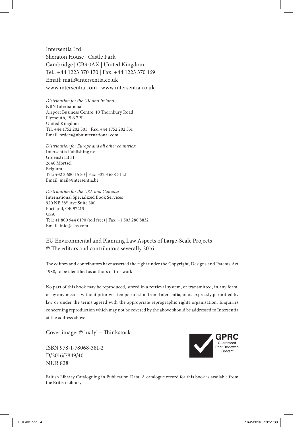Intersentia Ltd Sheraton House | Castle Park Cambridge | CB3 0AX | United Kingdom Tel.: +44 1223 370 170 | Fax: +44 1223 370 169 Email: mail@intersentia.co.uk www.intersentia.com | www.intersentia.co.uk

*Distribution for the UK and Ireland:* NBN International Airport Business Centre, 10 Thornbury Road Plymouth, PL6 7PP United Kingdom Tel: +44 1752 202 301 | Fax: +44 1752 202 331 Email: orders@nbninternational.com

*Distribution for Europe and all other countries:* Intersentia Publishing nv Groenstraat 31 2640 Mortsel Belgium Tel.: +32 3 680 15 50 | Fax: +32 3 658 71 21 Email: mail@intersentia.be

*Distribution for the USA and Canada:* International Specialized Book Services 920 NE 58th Ave Suite 300 Portland, OR 97213 **USA** Tel.: +1 800 944 6190 (toll free) | Fax: +1 503 280 8832 Email: info@isbs.com

#### EU Environmental and Planning Law Aspects of Large-Scale Projects © The editors and contributors severally 2016

The editors and contributors have asserted the right under the Copyright, Designs and Patents Act 1988, to be identified as authors of this work.

No part of this book may be reproduced, stored in a retrieval system, or transmitted, in any form, or by any means, without prior written permission from Intersentia, or as expressly permitted by law or under the terms agreed with the appropriate reprographic rights organisation. Enquiries concerning reproduction which may not be covered by the above should be addressed to Intersentia at the address above.

Cover image: © hxdyl – Thinkstock

ISBN 978-1-78068-381-2 D/2016/7849/40 NUR 828



British Library Cataloguing in Publication Data. A catalogue record for this book is available from the British Library.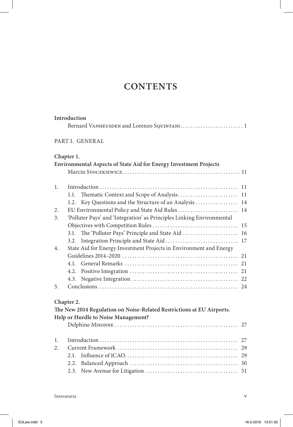# **CONTENTS**

| PART I. GENERAL<br>Chapter 1.<br><b>Environmental Aspects of State Aid for Energy Investment Projects</b><br>1.<br>1.1.<br>Key Questions and the Structure of an Analysis  14<br>1.2.<br>EU Environmental Policy and State Aid Rules 14<br>2.<br>'Polluter Pays' and 'Integration' as Principles Linking Environmental<br>3.<br>3.1.<br>3.2.<br>State Aid for Energy Investment Projects in Environment and Energy<br>4.<br>4.1.<br>4.2.<br>4.3.<br>5.<br>Chapter 2.<br>The New 2014 Regulation on Noise-Related Restrictions at EU Airports.<br>Help or Hurdle to Noise Management? |
|--------------------------------------------------------------------------------------------------------------------------------------------------------------------------------------------------------------------------------------------------------------------------------------------------------------------------------------------------------------------------------------------------------------------------------------------------------------------------------------------------------------------------------------------------------------------------------------|
|                                                                                                                                                                                                                                                                                                                                                                                                                                                                                                                                                                                      |
|                                                                                                                                                                                                                                                                                                                                                                                                                                                                                                                                                                                      |
|                                                                                                                                                                                                                                                                                                                                                                                                                                                                                                                                                                                      |
|                                                                                                                                                                                                                                                                                                                                                                                                                                                                                                                                                                                      |
|                                                                                                                                                                                                                                                                                                                                                                                                                                                                                                                                                                                      |
|                                                                                                                                                                                                                                                                                                                                                                                                                                                                                                                                                                                      |
|                                                                                                                                                                                                                                                                                                                                                                                                                                                                                                                                                                                      |
|                                                                                                                                                                                                                                                                                                                                                                                                                                                                                                                                                                                      |
|                                                                                                                                                                                                                                                                                                                                                                                                                                                                                                                                                                                      |
|                                                                                                                                                                                                                                                                                                                                                                                                                                                                                                                                                                                      |
|                                                                                                                                                                                                                                                                                                                                                                                                                                                                                                                                                                                      |
|                                                                                                                                                                                                                                                                                                                                                                                                                                                                                                                                                                                      |
|                                                                                                                                                                                                                                                                                                                                                                                                                                                                                                                                                                                      |
|                                                                                                                                                                                                                                                                                                                                                                                                                                                                                                                                                                                      |
|                                                                                                                                                                                                                                                                                                                                                                                                                                                                                                                                                                                      |
|                                                                                                                                                                                                                                                                                                                                                                                                                                                                                                                                                                                      |
|                                                                                                                                                                                                                                                                                                                                                                                                                                                                                                                                                                                      |
|                                                                                                                                                                                                                                                                                                                                                                                                                                                                                                                                                                                      |
|                                                                                                                                                                                                                                                                                                                                                                                                                                                                                                                                                                                      |
|                                                                                                                                                                                                                                                                                                                                                                                                                                                                                                                                                                                      |
|                                                                                                                                                                                                                                                                                                                                                                                                                                                                                                                                                                                      |
|                                                                                                                                                                                                                                                                                                                                                                                                                                                                                                                                                                                      |
| 1.                                                                                                                                                                                                                                                                                                                                                                                                                                                                                                                                                                                   |
| $\overline{2}$ .                                                                                                                                                                                                                                                                                                                                                                                                                                                                                                                                                                     |
| 2.1                                                                                                                                                                                                                                                                                                                                                                                                                                                                                                                                                                                  |
|                                                                                                                                                                                                                                                                                                                                                                                                                                                                                                                                                                                      |
|                                                                                                                                                                                                                                                                                                                                                                                                                                                                                                                                                                                      |

**Introduction**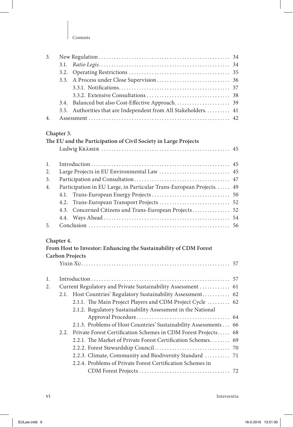|  | 3.5. Authorities that are Independent from All Stakeholders 41 |  |
|--|----------------------------------------------------------------|--|
|  |                                                                |  |

## **Chapter 3.**

|    | The EU and the Participation of Civil Society in Large Projects     |  |
|----|---------------------------------------------------------------------|--|
|    |                                                                     |  |
| 1. |                                                                     |  |
| 2. |                                                                     |  |
| 3. |                                                                     |  |
| 4. | Participation in EU Large, in Particular Trans-European Projects 49 |  |
|    |                                                                     |  |
|    |                                                                     |  |
|    | 4.3. Concerned Citizens and Trans-European Projects 52              |  |
|    |                                                                     |  |
| 5. |                                                                     |  |

#### **Chapter 4.**

|    | From Host to Investor: Enhancing the Sustainability of CDM Forest   |  |
|----|---------------------------------------------------------------------|--|
|    | <b>Carbon Projects</b>                                              |  |
|    |                                                                     |  |
| 1. |                                                                     |  |
|    |                                                                     |  |
| 2. | Current Regulatory and Private Sustainability Assessment  61        |  |
|    | 2.1. Host Countries' Regulatory Sustainability Assessment 62        |  |
|    | 2.1.1. The Main Project Players and CDM Project Cycle  62           |  |
|    | 2.1.2. Regulatory Sustainability Assessment in the National         |  |
|    |                                                                     |  |
|    | 2.1.3. Problems of Host Countries' Sustainability Assessments 66    |  |
|    | 2.2. Private Forest Certification Schemes in CDM Forest Projects 68 |  |
|    | 2.2.1. The Market of Private Forest Certification Schemes 69        |  |
|    |                                                                     |  |
|    | 2.2.3. Climate, Community and Biodiversity Standard  71             |  |
|    | 2.2.4. Problems of Private Forest Certification Schemes in          |  |
|    |                                                                     |  |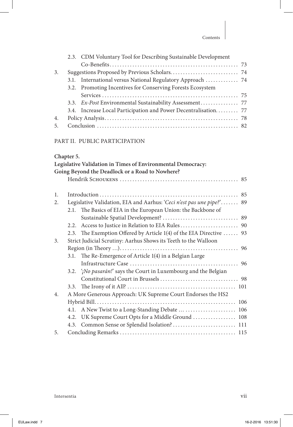|    | 2.3. CDM Voluntary Tool for Describing Sustainable Development  |  |
|----|-----------------------------------------------------------------|--|
|    |                                                                 |  |
| 3. |                                                                 |  |
|    | 3.1. International versus National Regulatory Approach  74      |  |
|    | 3.2. Promoting Incentives for Conserving Forests Ecosystem      |  |
|    |                                                                 |  |
|    | 3.3. Ex-Post Environmental Sustainability Assessment 77         |  |
|    |                                                                 |  |
|    | 3.4. Increase Local Participation and Power Decentralisation 77 |  |
| 4. |                                                                 |  |

#### Part II. PUBLIC PARTICIPATION

#### **Chapter 5.**

|    |      | Legislative Validation in Times of Environmental Democracy:           |  |
|----|------|-----------------------------------------------------------------------|--|
|    |      | Going Beyond the Deadlock or a Road to Nowhere?                       |  |
|    |      |                                                                       |  |
|    |      |                                                                       |  |
| 1. |      |                                                                       |  |
| 2. |      | Legislative Validation, EIA and Aarhus: 'Ceci n'est pas une pipe?' 89 |  |
|    | 2.1. | The Basics of EIA in the European Union: the Backbone of              |  |
|    |      |                                                                       |  |
|    | 2.2. |                                                                       |  |
|    |      | 2.3. The Exemption Offered by Article 1(4) of the EIA Directive  93   |  |
| 3. |      | Strict Judicial Scrutiny: Aarhus Shows its Teeth to the Walloon       |  |
|    |      |                                                                       |  |
|    | 3.1. | The Re-Emergence of Article 1(4) in a Belgian Large                   |  |
|    |      |                                                                       |  |
|    |      | 3.2. '¡No pasarán!' says the Court in Luxembourg and the Belgian      |  |
|    |      |                                                                       |  |
|    | 3.3. |                                                                       |  |
| 4. |      | A More Generous Approach: UK Supreme Court Endorses the HS2           |  |
|    |      |                                                                       |  |
|    | 4.1. |                                                                       |  |
|    |      | 4.2. UK Supreme Court Opts for a Middle Ground  108                   |  |
|    |      | 4.3. Common Sense or Splendid Isolation? 111                          |  |
| 5. |      |                                                                       |  |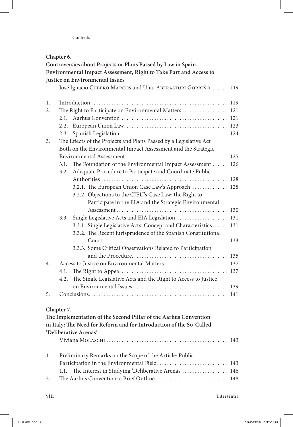|    | Chapter 6. |                                                                     |     |  |  |
|----|------------|---------------------------------------------------------------------|-----|--|--|
|    |            | Controversies about Projects or Plans Passed by Law in Spain.       |     |  |  |
|    |            | Environmental Impact Assessment, Right to Take Part and Access to   |     |  |  |
|    |            | Justice on Environmental Issues                                     |     |  |  |
|    |            | José Ignacio CUBERO MARCOS and Unai ABERASTURI GORRIÑO 119          |     |  |  |
| 1. |            |                                                                     |     |  |  |
| 2. |            | The Right to Participate on Environmental Matters 121               |     |  |  |
|    | 2.1        |                                                                     |     |  |  |
|    | 2.2.       |                                                                     |     |  |  |
|    | 2.3.       |                                                                     |     |  |  |
| 3. |            | The Effects of the Projects and Plans Passed by a Legislative Act   |     |  |  |
|    |            | Both on the Environmental Impact Assessment and the Strategic       |     |  |  |
|    |            |                                                                     |     |  |  |
|    | 3.1.       | The Foundation of the Environmental Impact Assessment  126          |     |  |  |
|    | 3.2.       | Adequate Procedure to Participate and Coordinate Public             |     |  |  |
|    |            |                                                                     |     |  |  |
|    |            | 3.2.1. The European Union Case Law's Approach  128                  |     |  |  |
|    |            | 3.2.2. Objections to the CJEU's Case Law: the Right to              |     |  |  |
|    |            | Participate in the EIA and the Strategic Environmental              |     |  |  |
|    |            |                                                                     |     |  |  |
|    | 3.3.       | Single Legislative Acts and EIA Legislation  131                    |     |  |  |
|    |            | 3.3.1. Single Legislative Acts: Concept and Characteristics 131     |     |  |  |
|    |            | 3.3.2. The Recent Jurisprudence of the Spanish Constitutional       |     |  |  |
|    |            |                                                                     | 133 |  |  |
|    |            | 3.3.3. Some Critical Observations Related to Participation          |     |  |  |
|    |            |                                                                     |     |  |  |
| 4. |            | Access to Justice on Environmental Matters 137                      |     |  |  |
|    | 4.1.       |                                                                     |     |  |  |
|    | 4.2.       | The Single Legislative Acts and the Right to Access to Justice      |     |  |  |
|    |            |                                                                     |     |  |  |
| 5. |            |                                                                     |     |  |  |
|    |            |                                                                     |     |  |  |
|    | Chapter 7. |                                                                     |     |  |  |
|    |            | The Implementation of the Second Pillar of the Aarhus Convention    |     |  |  |
|    |            | in Italy: The Need for Reform and for Introduction of the So-Called |     |  |  |
|    |            | 'Deliberative Arenas'                                               |     |  |  |
|    |            |                                                                     |     |  |  |
| 1. |            | Preliminary Remarks on the Scope of the Article: Public             |     |  |  |
|    |            | Participation in the Environmental Field 143                        |     |  |  |
|    | 1.1.       | The Interest in Studying 'Deliberative Arenas' 146                  |     |  |  |
| 2. |            | The Aarhus Convention: a Brief Outline 148                          |     |  |  |
|    |            |                                                                     |     |  |  |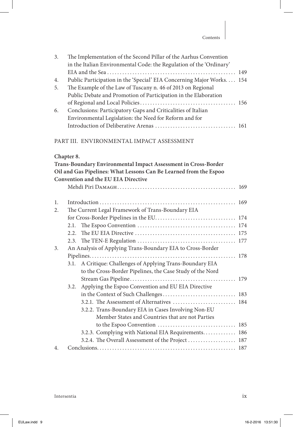| 3. | The Implementation of the Second Pillar of the Aarhus Convention<br>in the Italian Environmental Code: the Regulation of the 'Ordinary' |  |
|----|-----------------------------------------------------------------------------------------------------------------------------------------|--|
|    |                                                                                                                                         |  |
| 4. | Public Participation in the 'Special' EIA Concerning Major Works. 154                                                                   |  |
| 5. | The Example of the Law of Tuscany n. 46 of 2013 on Regional                                                                             |  |
|    | Public Debate and Promotion of Participation in the Elaboration                                                                         |  |
|    |                                                                                                                                         |  |
| 6. | Conclusions: Participatory Gaps and Criticalities of Italian                                                                            |  |
|    | Environmental Legislation: the Need for Reform and for                                                                                  |  |
|    |                                                                                                                                         |  |

#### Part III. ENVIRONMENTAL IMPACT ASSESSMENT

## **Chapter 8.**

|                  |      | Trans-Boundary Environmental Impact Assessment in Cross-Border    |  |
|------------------|------|-------------------------------------------------------------------|--|
|                  |      | Oil and Gas Pipelines: What Lessons Can Be Learned from the Espoo |  |
|                  |      | Convention and the EU EIA Directive                               |  |
|                  |      |                                                                   |  |
|                  |      |                                                                   |  |
| 1.               |      |                                                                   |  |
| 2.               |      | The Current Legal Framework of Trans-Boundary EIA                 |  |
|                  |      |                                                                   |  |
|                  | 2.1. |                                                                   |  |
|                  |      |                                                                   |  |
|                  |      |                                                                   |  |
| 3.               |      | An Analysis of Applying Trans-Boundary EIA to Cross-Border        |  |
|                  |      |                                                                   |  |
|                  | 3.1. | A Critique: Challenges of Applying Trans-Boundary EIA             |  |
|                  |      | to the Cross-Border Pipelines, the Case Study of the Nord         |  |
|                  |      |                                                                   |  |
|                  | 3.2. | Applying the Espoo Convention and EU EIA Directive                |  |
|                  |      |                                                                   |  |
|                  |      | 3.2.1. The Assessment of Alternatives  184                        |  |
|                  |      | 3.2.2. Trans-Boundary EIA in Cases Involving Non-EU               |  |
|                  |      | Member States and Countries that are not Parties                  |  |
|                  |      |                                                                   |  |
|                  |      | 3.2.3. Complying with National EIA Requirements 186               |  |
|                  |      |                                                                   |  |
| $\overline{4}$ . |      |                                                                   |  |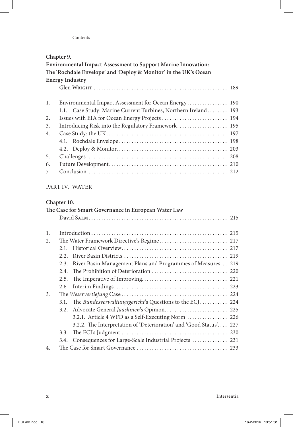#### Contents

|    | Chapter 9.                                                           |  |
|----|----------------------------------------------------------------------|--|
|    | <b>Environmental Impact Assessment to Support Marine Innovation:</b> |  |
|    | The 'Rochdale Envelope' and 'Deploy & Monitor' in the UK's Ocean     |  |
|    | <b>Energy Industry</b>                                               |  |
|    |                                                                      |  |
| 1. | Environmental Impact Assessment for Ocean Energy 190                 |  |
|    | 1.1. Case Study: Marine Current Turbines, Northern Ireland 193       |  |
| 2. | Issues with EIA for Ocean Energy Projects  194                       |  |
| 3. | Introducing Risk into the Regulatory Framework 195                   |  |
| 4. |                                                                      |  |
|    | 4.1.                                                                 |  |
|    |                                                                      |  |
| 5. |                                                                      |  |
| 6. |                                                                      |  |
| 7. |                                                                      |  |
|    | PART IV. WATER                                                       |  |
|    |                                                                      |  |
|    | Chapter 10.                                                          |  |
|    | The Case for Smart Governance in European Water Law                  |  |
|    |                                                                      |  |
| 1. |                                                                      |  |
| 2. |                                                                      |  |
|    | 2.1.                                                                 |  |
|    | 2.2.                                                                 |  |
|    | River Basin Management Plans and Programmes of Measures 219<br>2.3.  |  |
|    | 2.4.                                                                 |  |
|    | 2.5.                                                                 |  |
|    | 2.6                                                                  |  |
| 3. |                                                                      |  |
|    | The Bundesverwaltungsgericht's Questions to the ECJ 224<br>3.1.      |  |
|    | Advocate General Jääskinen's Opinion 225<br>3.2.                     |  |
|    | 3.2.1. Article 4 WFD as a Self-Executing Norm  226                   |  |
|    | 3.2.2. The Interpretation of 'Deterioration' and 'Good Status' 227   |  |

3.3. The ECJ's Judgment .......................................... 230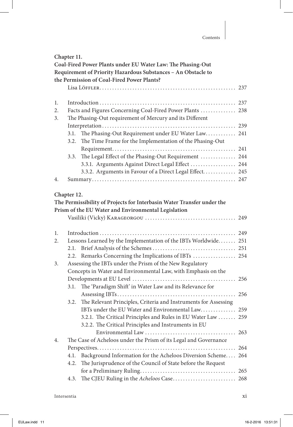| Chapter 11.<br>Coal-Fired Power Plants under EU Water Law: The Phasing-Out |                                                          |                                                                        |  |  |
|----------------------------------------------------------------------------|----------------------------------------------------------|------------------------------------------------------------------------|--|--|
|                                                                            |                                                          |                                                                        |  |  |
| the Permission of Coal-Fired Power Plants?                                 |                                                          |                                                                        |  |  |
|                                                                            |                                                          |                                                                        |  |  |
| 1.                                                                         |                                                          |                                                                        |  |  |
| 2.                                                                         |                                                          | Facts and Figures Concerning Coal-Fired Power Plants  238              |  |  |
| 3.                                                                         |                                                          | The Phasing-Out requirement of Mercury and its Different               |  |  |
|                                                                            |                                                          |                                                                        |  |  |
|                                                                            | 3.1.                                                     | The Phasing-Out Requirement under EU Water Law 241                     |  |  |
|                                                                            | 3.2.                                                     | The Time Frame for the Implementation of the Phasing-Out               |  |  |
|                                                                            |                                                          |                                                                        |  |  |
|                                                                            | 3.3.                                                     | The Legal Effect of the Phasing-Out Requirement  244                   |  |  |
|                                                                            |                                                          | 3.3.1. Arguments Against Direct Legal Effect  244                      |  |  |
|                                                                            |                                                          | 3.3.2. Arguments in Favour of a Direct Legal Effect 245                |  |  |
| 4.                                                                         |                                                          |                                                                        |  |  |
|                                                                            |                                                          |                                                                        |  |  |
|                                                                            | Chapter 12.                                              |                                                                        |  |  |
|                                                                            |                                                          | The Permissibility of Projects for Interbasin Water Transfer under the |  |  |
|                                                                            |                                                          | Prism of the EU Water and Environmental Legislation                    |  |  |
|                                                                            |                                                          |                                                                        |  |  |
|                                                                            |                                                          |                                                                        |  |  |
| 1.                                                                         |                                                          |                                                                        |  |  |
| 2.                                                                         |                                                          | Lessons Learned by the Implementation of the IBTs Worldwide 251        |  |  |
|                                                                            | 2.1.                                                     |                                                                        |  |  |
|                                                                            |                                                          | 2.2. Remarks Concerning the Implications of IBTs  254                  |  |  |
| 3.                                                                         | Assessing the IBTs under the Prism of the New Regulatory |                                                                        |  |  |
|                                                                            |                                                          | Concepts in Water and Environmental Law, with Emphasis on the          |  |  |
|                                                                            |                                                          |                                                                        |  |  |
|                                                                            | 3.1.                                                     | The 'Paradigm Shift' in Water Law and its Relevance for                |  |  |
|                                                                            |                                                          |                                                                        |  |  |
|                                                                            | 3.2.                                                     | The Relevant Principles, Criteria and Instruments for Assessing        |  |  |
|                                                                            |                                                          | IBTs under the EU Water and Environmental Law 259                      |  |  |
|                                                                            |                                                          | 3.2.1. The Critical Principles and Rules in EU Water Law  259          |  |  |
|                                                                            |                                                          | 3.2.2. The Critical Principles and Instruments in EU                   |  |  |
|                                                                            |                                                          |                                                                        |  |  |
| 4.                                                                         |                                                          | The Case of Acheloos under the Prism of its Legal and Governance       |  |  |
|                                                                            |                                                          |                                                                        |  |  |
|                                                                            | 4.1.                                                     | Background Information for the Acheloos Diversion Scheme 264           |  |  |
|                                                                            | 4.2.                                                     | The Jurisprudence of the Council of State before the Request           |  |  |
|                                                                            |                                                          |                                                                        |  |  |
|                                                                            | 4.3.                                                     |                                                                        |  |  |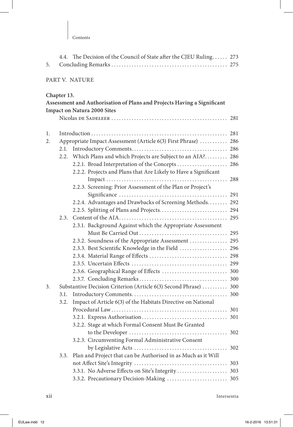|  | 4.4. The Decision of the Council of State after the CJEU Ruling 273 |  |
|--|---------------------------------------------------------------------|--|
|  |                                                                     |  |

#### Part V. NATURE

#### **Chapter 13.**

|    | Assessment and Authorisation of Plans and Projects Having a Significant |                                                                  |  |
|----|-------------------------------------------------------------------------|------------------------------------------------------------------|--|
|    | <b>Impact on Natura 2000 Sites</b>                                      |                                                                  |  |
|    |                                                                         |                                                                  |  |
|    |                                                                         |                                                                  |  |
| 1. |                                                                         |                                                                  |  |
| 2. |                                                                         | Appropriate Impact Assessment (Article 6(3) First Phrase)  286   |  |
|    | 2.1.                                                                    |                                                                  |  |
|    | 2.2.                                                                    | Which Plans and which Projects are Subject to an AIA? 286        |  |
|    |                                                                         | 2.2.1. Broad Interpretation of the Concepts<br>286               |  |
|    |                                                                         | 2.2.2. Projects and Plans that Are Likely to Have a Significant  |  |
|    |                                                                         | 288                                                              |  |
|    |                                                                         | 2.2.3. Screening: Prior Assessment of the Plan or Project's      |  |
|    |                                                                         |                                                                  |  |
|    |                                                                         | 2.2.4. Advantages and Drawbacks of Screening Methods 292         |  |
|    |                                                                         |                                                                  |  |
|    | 2.3.                                                                    | 295                                                              |  |
|    |                                                                         | 2.3.1. Background Against which the Appropriate Assessment       |  |
|    |                                                                         |                                                                  |  |
|    |                                                                         | 2.3.2. Soundness of the Appropriate Assessment  295              |  |
|    |                                                                         | 2.3.3. Best Scientific Knowledge in the Field  296               |  |
|    |                                                                         |                                                                  |  |
|    |                                                                         |                                                                  |  |
|    |                                                                         |                                                                  |  |
|    |                                                                         |                                                                  |  |
| 3. |                                                                         | Substantive Decision Criterion (Article 6(3) Second Phrase)  300 |  |
|    | 3.1.                                                                    |                                                                  |  |
|    | 3.2.                                                                    | Impact of Article 6(3) of the Habitats Directive on National     |  |
|    |                                                                         |                                                                  |  |
|    |                                                                         |                                                                  |  |
|    |                                                                         | 3.2.2. Stage at which Formal Consent Must Be Granted             |  |
|    |                                                                         |                                                                  |  |
|    |                                                                         | 3.2.3. Circumventing Formal Administrative Consent               |  |
|    |                                                                         | 302                                                              |  |
|    | 3.3.                                                                    | Plan and Project that can be Authorised in as Much as it Will    |  |
|    |                                                                         |                                                                  |  |
|    |                                                                         | 3.3.1. No Adverse Effects on Site's Integrity 303                |  |
|    |                                                                         |                                                                  |  |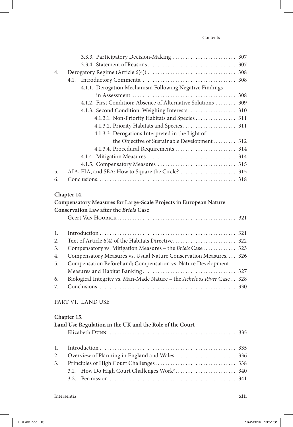| $\overline{4}$ . |                                                                        |  |
|------------------|------------------------------------------------------------------------|--|
|                  | 4.1.                                                                   |  |
|                  | 4.1.1. Derogation Mechanism Following Negative Findings                |  |
|                  |                                                                        |  |
|                  | 4.1.2. First Condition: Absence of Alternative Solutions  309          |  |
|                  |                                                                        |  |
|                  | 4.1.3.1. Non-Priority Habitats and Species  311                        |  |
|                  |                                                                        |  |
|                  | 4.1.3.3. Derogations Interpreted in the Light of                       |  |
|                  | the Objective of Sustainable Development 312                           |  |
|                  | 4.1.3.4. Procedural Requirements  314                                  |  |
|                  |                                                                        |  |
|                  |                                                                        |  |
| 5.               |                                                                        |  |
| 6.               |                                                                        |  |
|                  |                                                                        |  |
|                  | Chapter 14.                                                            |  |
|                  | Compensatory Measures for Large-Scale Projects in European Nature      |  |
|                  | Conservation Law after the Briels Case                                 |  |
|                  |                                                                        |  |
|                  |                                                                        |  |
| 1.               |                                                                        |  |
| 2.               |                                                                        |  |
| 3.               | Compensatory vs. Mitigation Measures - the Briels Case 323             |  |
| 4.               | Compensatory Measures vs. Usual Nature Conservation Measures 326       |  |
| 5.               | Compensation Beforehand; Compensation vs. Nature Development           |  |
|                  |                                                                        |  |
| 6.               | Biological Integrity vs. Man-Made Nature - the Acheloos River Case 328 |  |
| 7.               |                                                                        |  |

#### Part VI. LAND USE

#### **Chapter 15.**

| Land Use Regulation in the UK and the Role of the Court |  |  |  |
|---------------------------------------------------------|--|--|--|
|                                                         |  |  |  |
|                                                         |  |  |  |
|                                                         |  |  |  |
|                                                         |  |  |  |
|                                                         |  |  |  |
|                                                         |  |  |  |
|                                                         |  |  |  |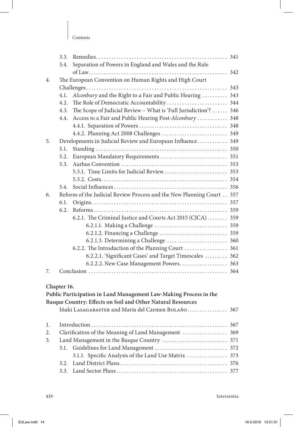| Contents |
|----------|
|----------|

|    | 3.3.        |                                                                      |  |
|----|-------------|----------------------------------------------------------------------|--|
|    | 3.4.        | Separation of Powers in England and Wales and the Rule               |  |
|    |             |                                                                      |  |
| 4. |             | The European Convention on Human Rights and High Court               |  |
|    |             |                                                                      |  |
|    | 4.1.        | Alconbury and the Right to a Fair and Public Hearing  343            |  |
|    | 4.2.        |                                                                      |  |
|    | 4.3.        | The Scope of Judicial Review - What is 'Full Jurisdiction'?  346     |  |
|    | 4.4.        | Access to a Fair and Public Hearing Post-Alconbury  348              |  |
|    |             |                                                                      |  |
|    |             |                                                                      |  |
| 5. |             | Developments in Judicial Review and European Influence 349           |  |
|    | 5.1.        |                                                                      |  |
|    | 5.2.        |                                                                      |  |
|    | 5.3.        |                                                                      |  |
|    |             |                                                                      |  |
|    |             |                                                                      |  |
|    | 5.4.        |                                                                      |  |
| 6. |             | Reform of the Judicial Review Process and the New Planning Court 357 |  |
|    | 6.1.        |                                                                      |  |
|    | 6.2.        |                                                                      |  |
|    |             | 6.2.1. The Criminal Justice and Courts Act 2015 (CJCA) 359           |  |
|    |             |                                                                      |  |
|    |             |                                                                      |  |
|    |             |                                                                      |  |
|    |             | 6.2.2. The Introduction of the Planning Court  361                   |  |
|    |             | 6.2.2.1. 'Significant Cases' and Target Timescales  362              |  |
|    |             |                                                                      |  |
| 7. |             |                                                                      |  |
|    |             |                                                                      |  |
|    | Chapter 16. |                                                                      |  |
|    |             | Public Participation in Land Management Law-Making Process in the    |  |
|    |             | Basque Country: Effects on Soil and Other Natural Resources          |  |
|    |             | Iñaki LASAGABASTER and María del Carmen BOLAÑO 367                   |  |
|    |             |                                                                      |  |
| 1. |             |                                                                      |  |
| 2. |             | Clarification of the Meaning of Land Management  369                 |  |
| 3. |             |                                                                      |  |
|    | 3.1.        |                                                                      |  |
|    |             | 3.1.1. Specific Analysis of the Land Use Matrix  373                 |  |
|    | 3.2.        |                                                                      |  |
|    |             |                                                                      |  |
|    |             |                                                                      |  |